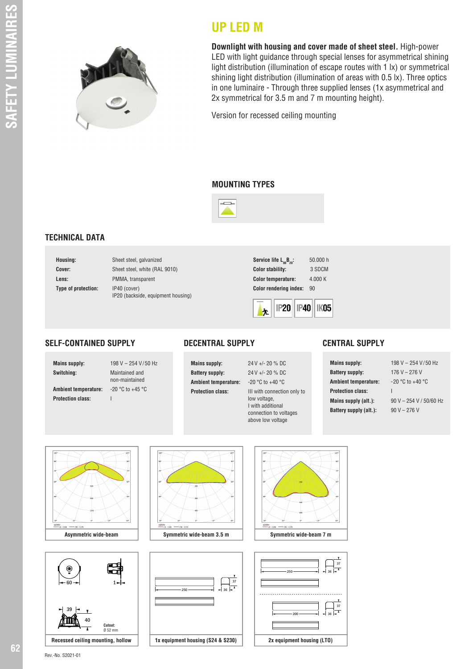

**Downlight with housing and cover made of sheet steel.** High-power LED with light guidance through special lenses for asymmetrical shining light distribution (illumination of escape routes with 1 lx) or symmetrical shining light distribution (illumination of areas with 0.5 lx). Three optics in one luminaire - Through three supplied lenses (1x asymmetrical and 2x symmetrical for 3.5 m and 7 m mounting height).

Version for recessed ceiling mounting

#### **MOUNTING TYPES**

**UP LED M**



## **TECHNICAL DATA**

| Housing:            | Sheet steel, galvanized                            |
|---------------------|----------------------------------------------------|
| Cover:              | Sheet steel, white (RAL 9010)                      |
| Lens:               | PMMA, transparent                                  |
| Type of protection: | IP40 (cover)<br>IP20 (backside, equipment housing) |

| Service life $L_{so}B_{20}$ : | 50,000 h |
|-------------------------------|----------|
| <b>Color stability:</b>       | 3 SDCM   |
| <b>Color temperature:</b>     | 4.000K   |
| <b>Color rendering index:</b> | 90       |
|                               |          |



### **SELF-CONTAINED SUPPLY**

**Protection class:** I

**Mains supply:** 198 V – 254 V/50 Hz

**Switching:** Maintained and non-maintained **Ambient temperature:** -20 °C to + 45 °C



**Ambient temperature:** -20 °C to +40 °C **Protection class:** III with connection only to low voltage, I with additional connection to voltages above low voltage

### **CENTRAL SUPPLY**

**Mains supply:** 198 V – 254 V/50 Hz **Battery supply:** 176 V – 276 V **Ambient temperature:** -20 °C to + 40 °C **Protection class:** I **Battery supply (alt.):** 90 V – 276 V

**Mains supply (alt.):** 90 V – 254 V / 50/60 Hz





**Asymmetric wide-beam Symmetric wide-beam 3.5 m Symmetric wide-beam 7 m**







Rev.-No. S2021-01